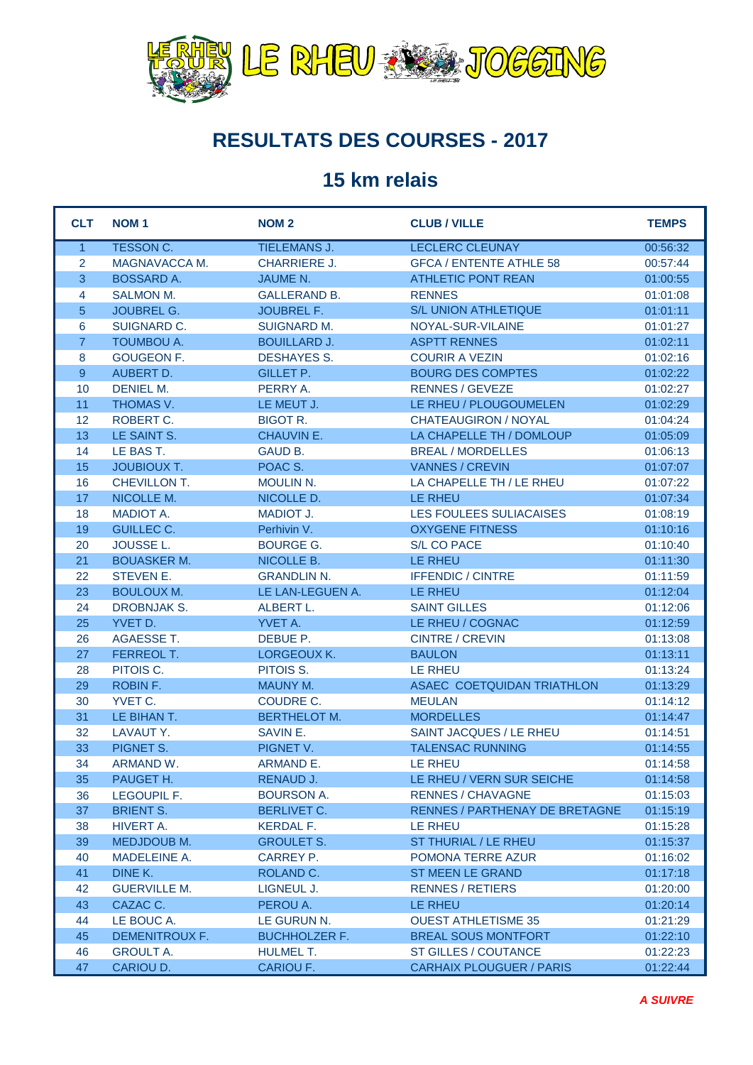

## **RESULTATS DES COURSES - 2017**

## **15 km relais**

| <b>CLT</b>     | <b>NOM1</b>                     | <b>NOM2</b>                             | <b>CLUB / VILLE</b>                                   | <b>TEMPS</b>         |
|----------------|---------------------------------|-----------------------------------------|-------------------------------------------------------|----------------------|
| $\mathbf{1}$   | <b>TESSON C.</b>                | <b>TIELEMANS J.</b>                     | <b>LECLERC CLEUNAY</b>                                | 00:56:32             |
| $\overline{2}$ | MAGNAVACCA M.                   | <b>CHARRIERE J.</b>                     | <b>GFCA / ENTENTE ATHLE 58</b>                        | 00:57:44             |
| $\overline{3}$ | <b>BOSSARD A.</b>               | <b>JAUME N.</b>                         | <b>ATHLETIC PONT REAN</b>                             | 01:00:55             |
| 4              | <b>SALMON M.</b>                | <b>GALLERAND B.</b>                     | <b>RENNES</b>                                         | 01:01:08             |
| 5              | <b>JOUBREL G.</b>               | <b>JOUBREL F.</b>                       | S/L UNION ATHLETIQUE                                  | 01:01:11             |
| 6              | SUIGNARD C.                     | <b>SUIGNARD M.</b>                      | NOYAL-SUR-VILAINE                                     | 01:01:27             |
| $\overline{7}$ | <b>TOUMBOU A.</b>               | <b>BOUILLARD J.</b>                     | <b>ASPTT RENNES</b>                                   | 01:02:11             |
| 8              | <b>GOUGEON F.</b>               | <b>DESHAYES S.</b>                      | <b>COURIR A VEZIN</b>                                 | 01:02:16             |
| 9              | AUBERT D.                       | <b>GILLET P.</b>                        | <b>BOURG DES COMPTES</b>                              | 01:02:22             |
| 10             | <b>DENIEL M.</b>                | PERRY A.                                | <b>RENNES / GEVEZE</b>                                | 01:02:27             |
| 11             | THOMAS V.                       | LE MEUT J.                              | LE RHEU / PLOUGOUMELEN                                | 01:02:29             |
| 12             | ROBERT C.                       | <b>BIGOT R.</b>                         | <b>CHATEAUGIRON / NOYAL</b>                           | 01:04:24             |
| 13             | LE SAINT S.                     | <b>CHAUVIN E.</b>                       | LA CHAPELLE TH / DOMLOUP                              | 01:05:09             |
| 14             | LE BAS T.                       | GAUD B.                                 | <b>BREAL / MORDELLES</b>                              | 01:06:13             |
| 15             | <b>JOUBIOUX T.</b>              | POAC S.                                 | <b>VANNES / CREVIN</b>                                | 01:07:07             |
| 16             | CHEVILLON T.                    | MOULIN N.                               | LA CHAPELLE TH / LE RHEU                              | 01:07:22             |
| 17             | NICOLLE M.                      | NICOLLE D.                              | LE RHEU                                               | 01:07:34             |
| 18             | <b>MADIOT A.</b>                | <b>MADIOT J.</b>                        | LES FOULEES SULIACAISES                               | 01:08:19             |
| 19             | <b>GUILLEC C.</b>               | Perhivin V.                             | <b>OXYGENE FITNESS</b>                                | 01:10:16             |
| 20             | <b>JOUSSE L.</b>                | <b>BOURGE G.</b>                        | S/L CO PACE                                           | 01:10:40             |
| 21             | <b>BOUASKER M.</b>              | NICOLLE B.                              | <b>LE RHEU</b>                                        | 01:11:30             |
| 22             | <b>STEVEN E.</b>                | <b>GRANDLIN N.</b>                      | <b>IFFENDIC / CINTRE</b>                              | 01:11:59             |
| 23             | <b>BOULOUX M.</b>               | LE LAN-LEGUEN A.                        | LE RHEU                                               | 01:12:04             |
| 24             | <b>DROBNJAK S.</b>              | ALBERT L.                               | <b>SAINT GILLES</b>                                   | 01:12:06             |
| 25             | YVET D.                         | YVET A.                                 | LE RHEU / COGNAC                                      | 01:12:59             |
| 26             | <b>AGAESSE T.</b>               | DEBUE P.                                | <b>CINTRE / CREVIN</b>                                | 01:13:08             |
| 27             | <b>FERREOL T.</b>               | LORGEOUX K.                             | <b>BAULON</b>                                         | 01:13:11             |
| 28             | PITOIS C.                       | PITOIS S.                               | <b>LE RHEU</b>                                        | 01:13:24             |
| 29             | ROBIN F.                        | <b>MAUNY M.</b>                         | ASAEC COETQUIDAN TRIATHLON                            | 01:13:29             |
| 30             | YVET C.                         | COUDRE C.                               | <b>MEULAN</b>                                         | 01:14:12             |
| 31             | LE BIHAN T.                     | <b>BERTHELOT M.</b>                     | <b>MORDELLES</b>                                      | 01:14:47             |
| 32             | LAVAUT Y.                       | SAVIN E.                                | SAINT JACQUES / LE RHEU                               | 01:14:51             |
| 33<br>34       | PIGNET S.                       | PIGNET V.                               | <b>TALENSAC RUNNING</b><br><b>LE RHEU</b>             | 01:14:55<br>01:14:58 |
|                | ARMAND W.                       | ARMAND E.                               |                                                       |                      |
| 35             | PAUGET H.                       | RENAUD J.                               | LE RHEU / VERN SUR SEICHE<br><b>RENNES / CHAVAGNE</b> | 01:14:58             |
| 36<br>37       | LEGOUPIL F.<br><b>BRIENT S.</b> | <b>BOURSON A.</b><br><b>BERLIVET C.</b> | RENNES / PARTHENAY DE BRETAGNE                        | 01:15:03             |
| 38             | HIVERT A.                       | KERDAL F.                               | LE RHEU                                               | 01:15:19             |
| 39             | MEDJDOUB M.                     | <b>GROULET S.</b>                       | ST THURIAL / LE RHEU                                  | 01:15:28<br>01:15:37 |
| 40             | <b>MADELEINE A.</b>             | CARREY P.                               | POMONA TERRE AZUR                                     | 01:16:02             |
| 41             | DINE K.                         | ROLAND C.                               | <b>ST MEEN LE GRAND</b>                               | 01:17:18             |
| 42             | <b>GUERVILLE M.</b>             | LIGNEUL J.                              | <b>RENNES / RETIERS</b>                               | 01:20:00             |
| 43             | CAZAC C.                        | PEROU A.                                | LE RHEU                                               | 01:20:14             |
| 44             | LE BOUC A.                      | LE GURUN N.                             | <b>OUEST ATHLETISME 35</b>                            | 01:21:29             |
| 45             | <b>DEMENITROUX F.</b>           | <b>BUCHHOLZER F.</b>                    | <b>BREAL SOUS MONTFORT</b>                            | 01:22:10             |
| 46             | <b>GROULT A.</b>                | <b>HULMEL T.</b>                        | ST GILLES / COUTANCE                                  | 01:22:23             |
| 47             | CARIOU D.                       | CARIOU F.                               | <b>CARHAIX PLOUGUER / PARIS</b>                       | 01:22:44             |